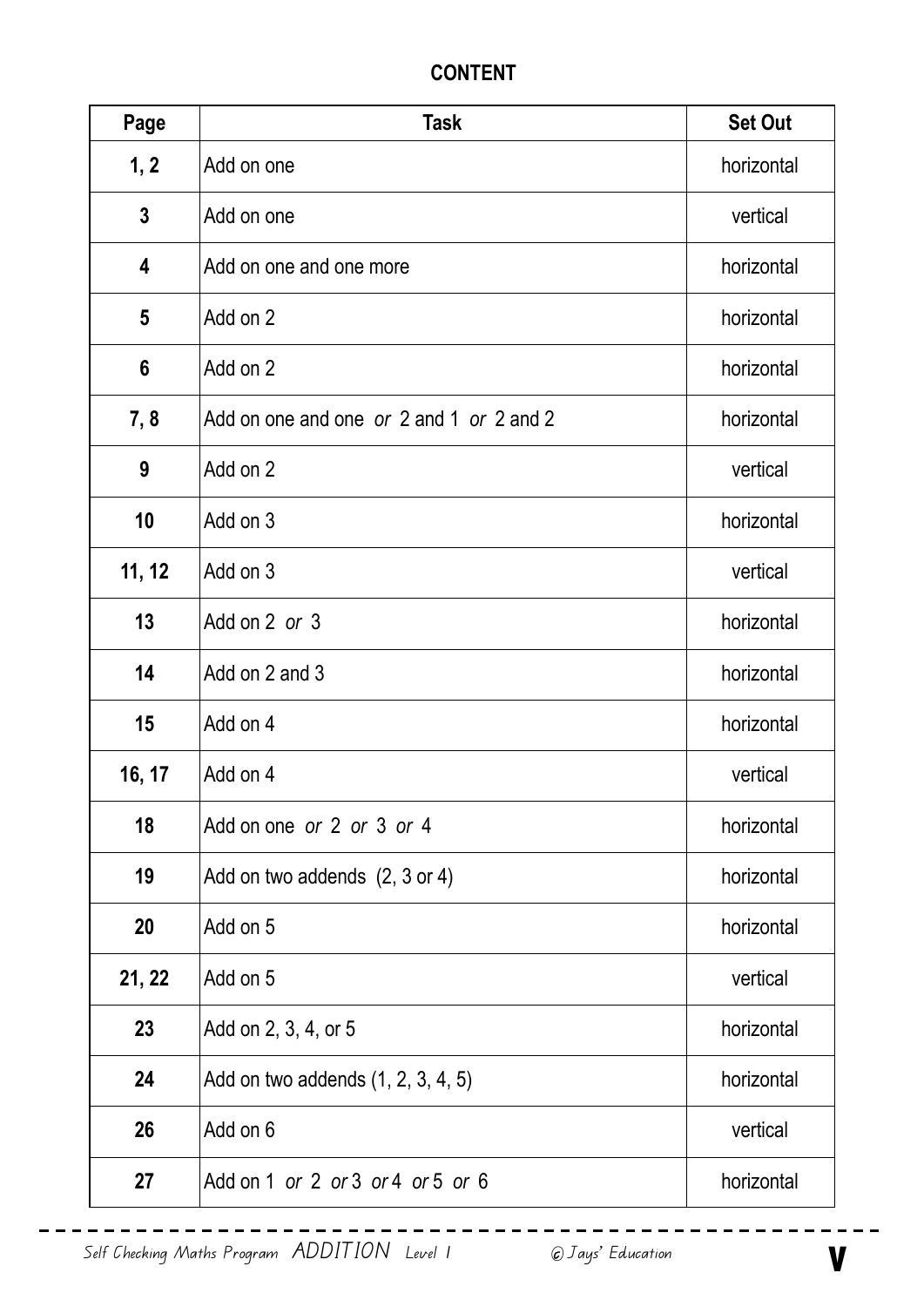< BACK TO:

## **CONTENT**

| Page           | <b>Task</b>                               | <b>Set Out</b> |
|----------------|-------------------------------------------|----------------|
| 1, 2           | Add on one                                | horizontal     |
| $\mathbf{3}$   | Add on one                                | vertical       |
| 4              | Add on one and one more                   | horizontal     |
| $5\phantom{1}$ | Add on 2                                  | horizontal     |
| 6              | Add on 2                                  | horizontal     |
| 7,8            | Add on one and one or 2 and 1 or 2 and 2  | horizontal     |
| 9              | Add on 2                                  | vertical       |
| 10             | Add on 3                                  | horizontal     |
| 11, 12         | Add on 3                                  | vertical       |
| 13             | Add on 2 or 3                             | horizontal     |
| 14             | Add on 2 and 3                            | horizontal     |
| 15             | Add on 4                                  | horizontal     |
| 16, 17         | Add on 4                                  | vertical       |
| 18             | Add on one or 2 or 3 or 4                 | horizontal     |
| 19             | Add on two addends $(2, 3 \text{ or } 4)$ | horizontal     |
| 20             | Add on 5                                  | horizontal     |
| 21, 22         | Add on 5                                  | vertical       |
| 23             | Add on 2, 3, 4, or 5                      | horizontal     |
| 24             | Add on two addends (1, 2, 3, 4, 5)        | horizontal     |
| 26             | Add on 6                                  | vertical       |
| 27             | Add on 1 or 2 or 3 or 4 or 5 or 6         | horizontal     |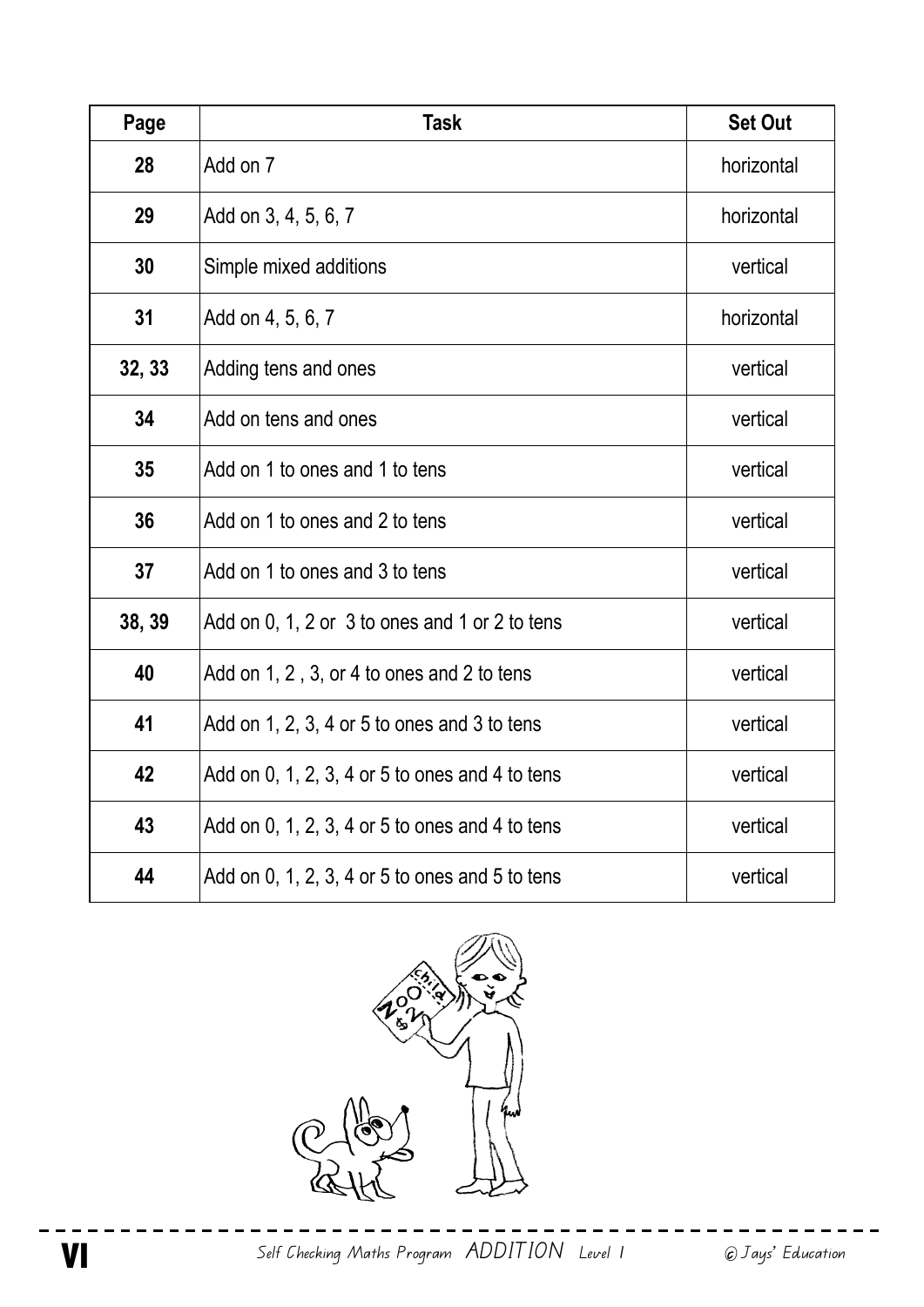| Page   | <b>Task</b>                                           | <b>Set Out</b> |
|--------|-------------------------------------------------------|----------------|
| 28     | Add on 7                                              | horizontal     |
| 29     | Add on 3, 4, 5, 6, 7                                  | horizontal     |
| 30     | Simple mixed additions                                | vertical       |
| 31     | Add on 4, 5, 6, 7                                     | horizontal     |
| 32, 33 | Adding tens and ones                                  | vertical       |
| 34     | Add on tens and ones                                  | vertical       |
| 35     | Add on 1 to ones and 1 to tens                        | vertical       |
| 36     | Add on 1 to ones and 2 to tens                        | vertical       |
| 37     | Add on 1 to ones and 3 to tens                        | vertical       |
| 38, 39 | Add on 0, 1, 2 or 3 to ones and 1 or 2 to tens        | vertical       |
| 40     | Add on 1, 2, 3, or 4 to ones and 2 to tens            | vertical       |
| 41     | Add on 1, 2, 3, 4 or 5 to ones and 3 to tens          | vertical       |
| 42     | Add on 0, 1, 2, 3, 4 or 5 to ones and 4 to tens       | vertical       |
| 43     | Add on 0, 1, 2, 3, 4 or 5 to ones and 4 to tens       | vertical       |
| 44     | Add on $0, 1, 2, 3, 4$ or $5$ to ones and $5$ to tens | vertical       |